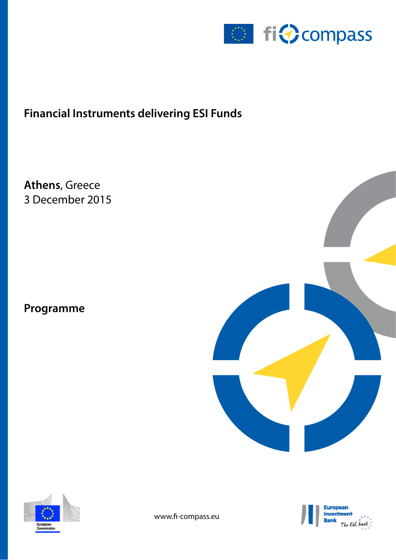

# **Financial Instruments delivering ESI Funds**

**Athens**, Greece 3 December 2015

## **Programme**





www.fi-compass.eu

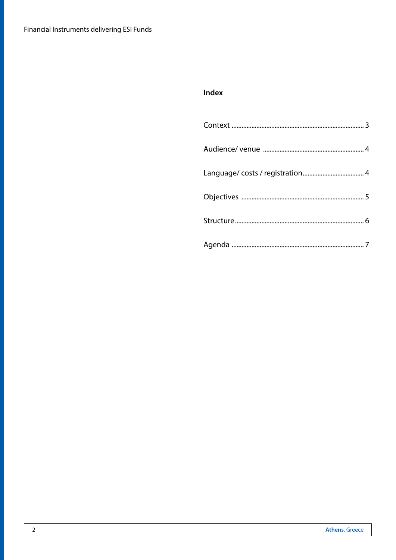## Index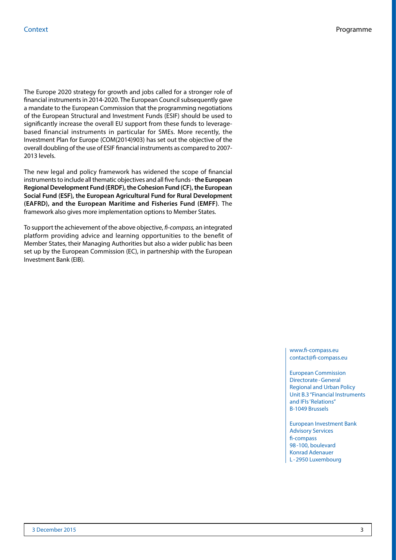The Europe 2020 strategy for growth and jobs called for a stronger role of financial instruments in 2014-2020. The European Council subsequently gave a mandate to the European Commission that the programming negotiations of the European Structural and Investment Funds (ESIF) should be used to significantly increase the overall EU support from these funds to leveragebased financial instruments in particular for SMEs. More recently, the Investment Plan for Europe (COM(2014)903) has set out the objective of the overall doubling of the use of ESIF financial instruments as compared to 2007- 2013 levels.

The new legal and policy framework has widened the scope of financial instruments to include all thematic objectives and all five funds - **the European Regional Development Fund (ERDF), the Cohesion Fund (CF), the European Social Fund (ESF), the European Agricultural Fund for Rural Development (EAFRD), and the European Maritime and Fisheries Fund (EMFF)**. The framework also gives more implementation options to Member States.

To support the achievement of the above objective, *fi-compass,* an integrated platform providing advice and learning opportunities to the benefit of Member States, their Managing Authorities but also a wider public has been set up by the European Commission (EC), in partnership with the European Investment Bank (EIB).

> www.fi-compass.eu contact@fi-compass.eu

European Commission Directorate-General Regional and Urban Policy Unit B.3 "Financial Instruments and IFIs'Relations" B-1049 Brussels

European Investment Bank Advisory Services fi-compass 98-100, boulevard Konrad Adenauer L -2950 Luxembourg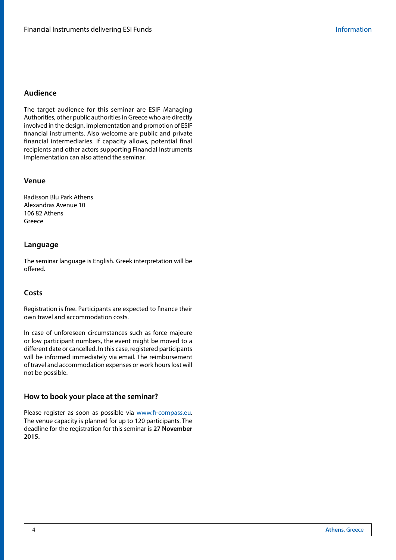## **Audience**

The target audience for this seminar are ESIF Managing Authorities, other public authorities in Greece who are directly involved in the design, implementation and promotion of ESIF financial instruments. Also welcome are public and private financial intermediaries. If capacity allows, potential final recipients and other actors supporting Financial Instruments implementation can also attend the seminar.

## **Venue**

Radisson Blu Park Athens Alexandras Avenue 10 106 82 Athens Greece

## **Language**

The seminar language is English. Greek interpretation will be offered.

## **Costs**

Registration is free. Participants are expected to finance their own travel and accommodation costs.

In case of unforeseen circumstances such as force majeure or low participant numbers, the event might be moved to a different date or cancelled. In this case, registered participants will be informed immediately via email. The reimbursement of travel and accommodation expenses or work hours lost will not be possible.

## **How to book your place at the seminar?**

Please register as soon as possible via [www.fi-compass.eu.](https://www.fi-compass.eu/event/788/financial-instruments-delivering-esi-funds-athens-3-december-2015) The venue capacity is planned for up to 120 participants. The deadline for the registration for this seminar is **27 November 2015.**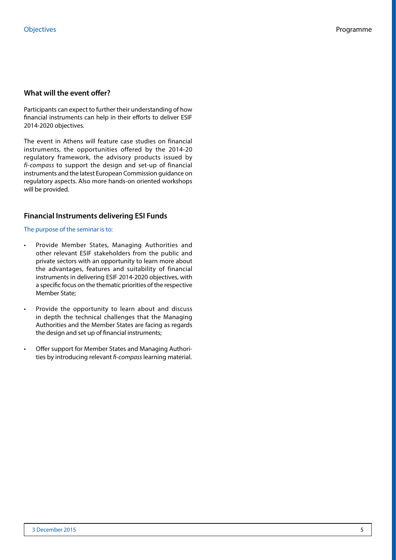## **What will the event offer?**

Participants can expect to further their understanding of how financial instruments can help in their efforts to deliver ESIF 2014-2020 objectives.

The event in Athens will feature case studies on financial instruments, the opportunities offered by the 2014-20 regulatory framework, the advisory products issued by *fi-compass* to support the design and set-up of financial instruments and the latest European Commission guidance on regulatory aspects. Also more hands-on oriented workshops will be provided.

## **Financial Instruments delivering ESI Funds**

#### The purpose of the seminar is to:

- Provide Member States, Managing Authorities and other relevant ESIF stakeholders from the public and private sectors with an opportunity to learn more about the advantages, features and suitability of financial instruments in delivering ESIF 2014-2020 objectives, with a specific focus on the thematic priorities of the respective Member State;
- Provide the opportunity to learn about and discuss in depth the technical challenges that the Managing Authorities and the Member States are facing as regards the design and set up of financial instruments;
- Offer support for Member States and Managing Authorities by introducing relevant *fi-compass* learning material.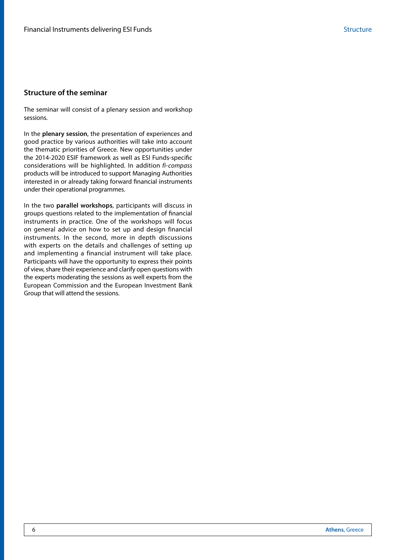## **Structure of the seminar**

The seminar will consist of a plenary session and workshop sessions.

In the **plenary session**, the presentation of experiences and good practice by various authorities will take into account the thematic priorities of Greece. New opportunities under the 2014-2020 ESIF framework as well as ESI Funds-specific considerations will be highlighted. In addition *fi-compass*  products will be introduced to support Managing Authorities interested in or already taking forward financial instruments under their operational programmes.

In the two **parallel workshops**, participants will discuss in groups questions related to the implementation of financial instruments in practice. One of the workshops will focus on general advice on how to set up and design financial instruments. In the second, more in depth discussions with experts on the details and challenges of setting up and implementing a financial instrument will take place. Participants will have the opportunity to express their points of view, share their experience and clarify open questions with the experts moderating the sessions as well experts from the European Commission and the European Investment Bank Group that will attend the sessions.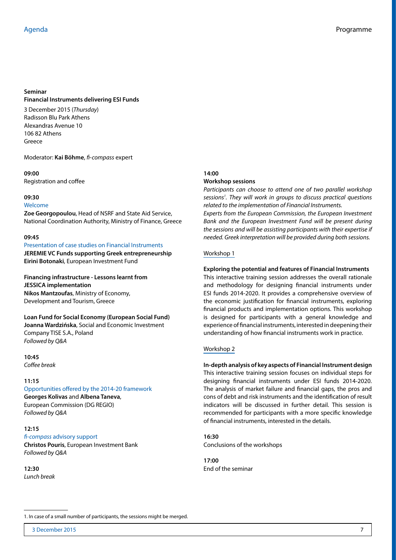#### **Seminar**

## **Financial Instruments delivering ESI Funds**

3 December 2015 (*Thursday*) Radisson Blu Park Athens Alexandras Avenue 10 106 82 Athens Greece

Moderator: **Kai Böhme**, *fi-compass* expert

**09:00**  Registration and coffee

#### **09:30**

#### Welcome

**Zoe Georgopoulou**, Head of NSRF and State Aid Service, National Coordination Authority, Ministry of Finance, Greece

#### **09:45**

#### Presentation of case studies on Financial Instruments **JEREMIE VC Funds supporting Greek entrepreneurship**

**Eirini Botonaki**, European Investment Fund

**Financing infrastructure - Lessons learnt from JESSICA implementation Nikos Mantzoufas**, Ministry of Economy, Development and Tourism, Greece

**Loan Fund for Social Economy (European Social Fund) Joanna Wardzińska**, Social and Economic Investment Company TISE S.A., Poland *Followed by Q&A*

**10:45**  *Coffee break*

## **11:15**

#### Opportunities offered by the 2014-20 framework

**Georges Kolivas** and **Albena Taneva**, European Commission (DG REGIO) *Followed by Q&A*

## **12:15**

## *fi-compass* advisory support

**Christos Pouris**, European Investment Bank *Followed by Q&A*

**12:30** *Lunch break*

## **14:00 Workshop sessions**

*Participants can choose to attend one of two parallel workshop sessions1 . They will work in groups to discuss practical questions related to the implementation of Financial Instruments.* 

*Experts from the European Commission, the European Investment Bank and the European Investment Fund will be present during the sessions and will be assisting participants with their expertise if needed. Greek interpretation will be provided during both sessions.*

## Workshop 1

## **Exploring the potential and features of Financial Instruments**

This interactive training session addresses the overall rationale and methodology for designing financial instruments under ESI funds 2014-2020. It provides a comprehensive overview of the economic justification for financial instruments, exploring financial products and implementation options. This workshop is designed for participants with a general knowledge and experience of financial instruments, interested in deepening their understanding of how financial instruments work in practice.

## Workshop 2

**In-depth analysis of key aspects of Financial Instrument design** This interactive training session focuses on individual steps for designing financial instruments under ESI funds 2014-2020. The analysis of market failure and financial gaps, the pros and cons of debt and risk instruments and the identification of result indicators will be discussed in further detail. This session is recommended for participants with a more specific knowledge of financial instruments, interested in the details.

**16:30**  Conclusions of the workshops

**17:00** End of the seminar

<sup>1.</sup> In case of a small number of participants, the sessions might be merged.